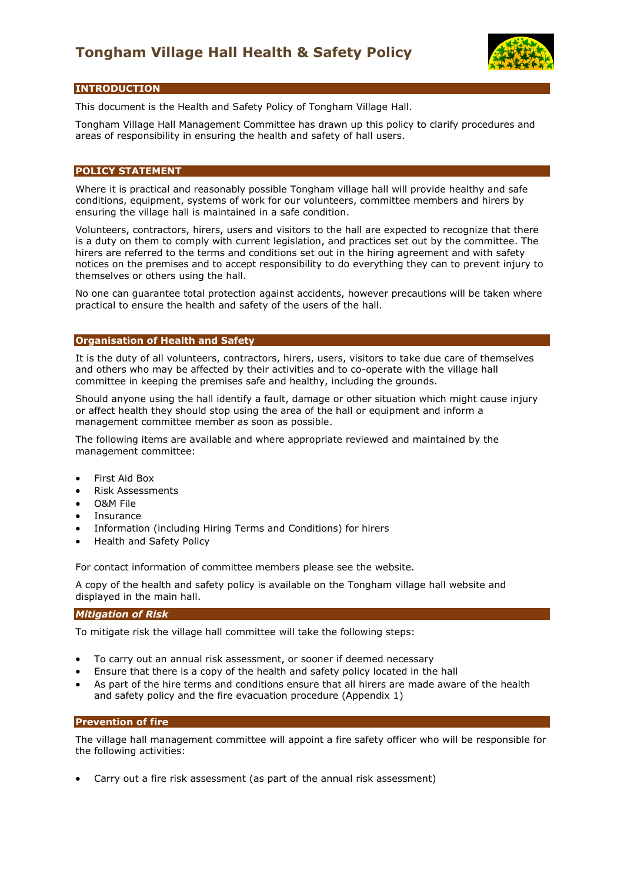

# **INTRODUCTION**

This document is the Health and Safety Policy of Tongham Village Hall.

Tongham Village Hall Management Committee has drawn up this policy to clarify procedures and areas of responsibility in ensuring the health and safety of hall users.

# **POLICY STATEMENT**

Where it is practical and reasonably possible Tongham village hall will provide healthy and safe conditions, equipment, systems of work for our volunteers, committee members and hirers by ensuring the village hall is maintained in a safe condition.

Volunteers, contractors, hirers, users and visitors to the hall are expected to recognize that there is a duty on them to comply with current legislation, and practices set out by the committee. The hirers are referred to the terms and conditions set out in the hiring agreement and with safety notices on the premises and to accept responsibility to do everything they can to prevent injury to themselves or others using the hall.

No one can guarantee total protection against accidents, however precautions will be taken where practical to ensure the health and safety of the users of the hall.

## **Organisation of Health and Safety**

It is the duty of all volunteers, contractors, hirers, users, visitors to take due care of themselves and others who may be affected by their activities and to co-operate with the village hall committee in keeping the premises safe and healthy, including the grounds.

Should anyone using the hall identify a fault, damage or other situation which might cause injury or affect health they should stop using the area of the hall or equipment and inform a management committee member as soon as possible.

The following items are available and where appropriate reviewed and maintained by the management committee:

- First Aid Box
- Risk Assessments
- O&M File
- **Insurance**
- Information (including Hiring Terms and Conditions) for hirers
- Health and Safety Policy

For contact information of committee members please see the website.

A copy of the health and safety policy is available on the Tongham village hall website and displayed in the main hall.

#### *Mitigation of Risk*

To mitigate risk the village hall committee will take the following steps:

- To carry out an annual risk assessment, or sooner if deemed necessary
- Ensure that there is a copy of the health and safety policy located in the hall
- As part of the hire terms and conditions ensure that all hirers are made aware of the health and safety policy and the fire evacuation procedure (Appendix 1)

#### **Prevention of fire**

The village hall management committee will appoint a fire safety officer who will be responsible for the following activities:

• Carry out a fire risk assessment (as part of the annual risk assessment)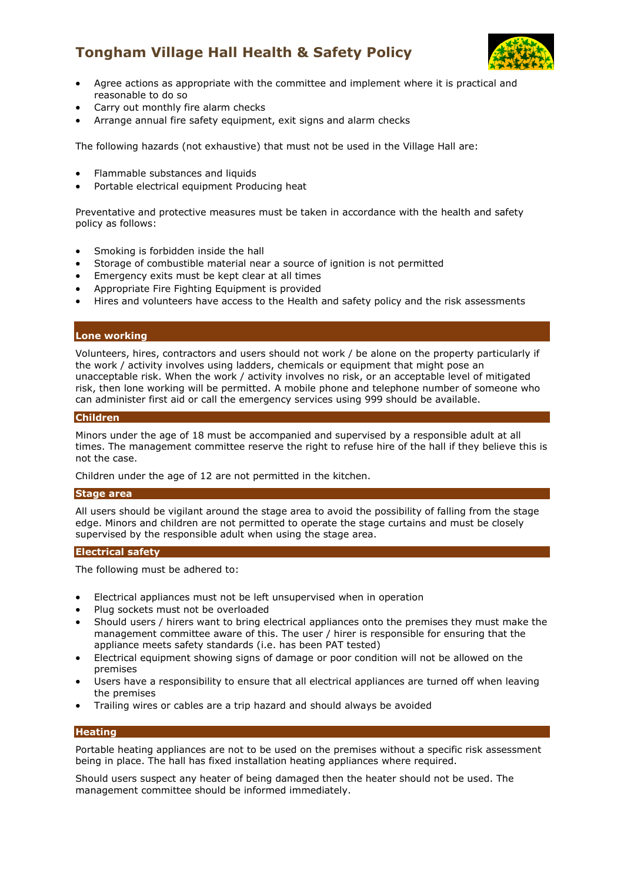# **Tongham Village Hall Health & Safety Policy**



- Agree actions as appropriate with the committee and implement where it is practical and reasonable to do so
- Carry out monthly fire alarm checks
- Arrange annual fire safety equipment, exit signs and alarm checks

The following hazards (not exhaustive) that must not be used in the Village Hall are:

- Flammable substances and liquids
- Portable electrical equipment Producing heat

Preventative and protective measures must be taken in accordance with the health and safety policy as follows:

- Smoking is forbidden inside the hall
- Storage of combustible material near a source of ignition is not permitted
- Emergency exits must be kept clear at all times
- Appropriate Fire Fighting Equipment is provided
- Hires and volunteers have access to the Health and safety policy and the risk assessments

# **Lone working**

Volunteers, hires, contractors and users should not work / be alone on the property particularly if the work / activity involves using ladders, chemicals or equipment that might pose an unacceptable risk. When the work / activity involves no risk, or an acceptable level of mitigated risk, then lone working will be permitted. A mobile phone and telephone number of someone who can administer first aid or call the emergency services using 999 should be available.

# **Children**

Minors under the age of 18 must be accompanied and supervised by a responsible adult at all times. The management committee reserve the right to refuse hire of the hall if they believe this is not the case.

Children under the age of 12 are not permitted in the kitchen.

#### **Stage area**

All users should be vigilant around the stage area to avoid the possibility of falling from the stage edge. Minors and children are not permitted to operate the stage curtains and must be closely supervised by the responsible adult when using the stage area.

# **Electrical safety**

The following must be adhered to:

- Electrical appliances must not be left unsupervised when in operation
- Plug sockets must not be overloaded
- Should users / hirers want to bring electrical appliances onto the premises they must make the management committee aware of this. The user / hirer is responsible for ensuring that the appliance meets safety standards (i.e. has been PAT tested)
- Electrical equipment showing signs of damage or poor condition will not be allowed on the premises
- Users have a responsibility to ensure that all electrical appliances are turned off when leaving the premises
- Trailing wires or cables are a trip hazard and should always be avoided

# **Heating**

Portable heating appliances are not to be used on the premises without a specific risk assessment being in place. The hall has fixed installation heating appliances where required.

Should users suspect any heater of being damaged then the heater should not be used. The management committee should be informed immediately.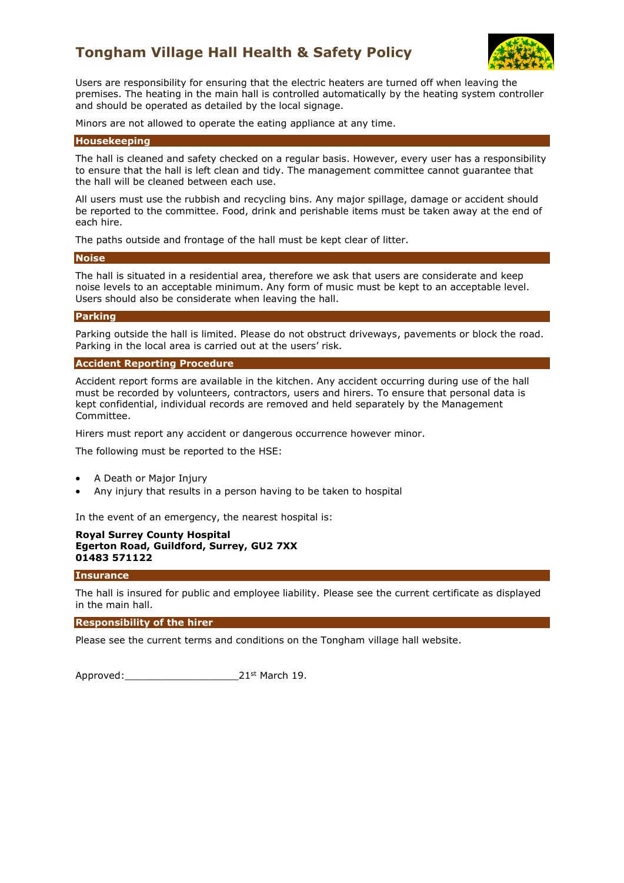# **Tongham Village Hall Health & Safety Policy**



Users are responsibility for ensuring that the electric heaters are turned off when leaving the premises. The heating in the main hall is controlled automatically by the heating system controller and should be operated as detailed by the local signage.

Minors are not allowed to operate the eating appliance at any time.

#### **Housekeeping**

The hall is cleaned and safety checked on a regular basis. However, every user has a responsibility to ensure that the hall is left clean and tidy. The management committee cannot guarantee that the hall will be cleaned between each use.

All users must use the rubbish and recycling bins. Any major spillage, damage or accident should be reported to the committee. Food, drink and perishable items must be taken away at the end of each hire.

The paths outside and frontage of the hall must be kept clear of litter.

#### **Noise**

The hall is situated in a residential area, therefore we ask that users are considerate and keep noise levels to an acceptable minimum. Any form of music must be kept to an acceptable level. Users should also be considerate when leaving the hall.

## **Parking**

Parking outside the hall is limited. Please do not obstruct driveways, pavements or block the road. Parking in the local area is carried out at the users' risk.

## **Accident Reporting Procedure**

Accident report forms are available in the kitchen. Any accident occurring during use of the hall must be recorded by volunteers, contractors, users and hirers. To ensure that personal data is kept confidential, individual records are removed and held separately by the Management Committee.

Hirers must report any accident or dangerous occurrence however minor.

The following must be reported to the HSE:

- A Death or Major Injury
- Any injury that results in a person having to be taken to hospital

In the event of an emergency, the nearest hospital is:

# **Royal Surrey County Hospital Egerton Road, Guildford, Surrey, GU2 7XX 01483 571122**

#### **Insurance**

The hall is insured for public and employee liability. Please see the current certificate as displayed in the main hall.

#### **Responsibility of the hirer**

Please see the current terms and conditions on the Tongham village hall website.

Approved:\_\_\_\_\_\_\_\_\_\_\_\_\_\_\_\_\_\_\_21st March 19.